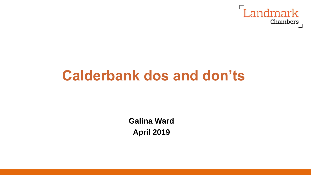

# **Calderbank dos and don'ts**

**Galina Ward April 2019**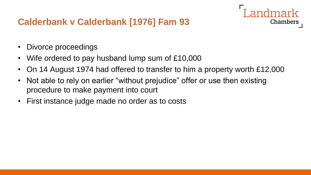# **Calderbank v Calderbank [1976] Fam 93**

- Divorce proceedings
- Wife ordered to pay husband lump sum of £10,000
- On 14 August 1974 had offered to transfer to him a property worth £12,000

Chambers

- Not able to rely on earlier "without prejudice" offer or use then existing procedure to make payment into court
- First instance judge made no order as to costs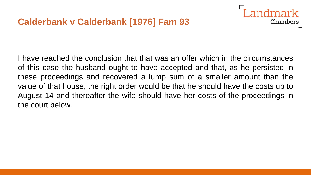

I have reached the conclusion that that was an offer which in the circumstances of this case the husband ought to have accepted and that, as he persisted in these proceedings and recovered a lump sum of a smaller amount than the value of that house, the right order would be that he should have the costs up to August 14 and thereafter the wife should have her costs of the proceedings in the court below.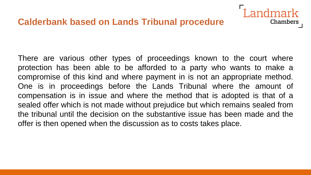## **Calderbank based on Lands Tribunal procedure**

There are various other types of proceedings known to the court where protection has been able to be afforded to a party who wants to make a compromise of this kind and where payment in is not an appropriate method. One is in proceedings before the Lands Tribunal where the amount of compensation is in issue and where the method that is adopted is that of a sealed offer which is not made without prejudice but which remains sealed from the tribunal until the decision on the substantive issue has been made and the offer is then opened when the discussion as to costs takes place.

Landmark

**Chambers**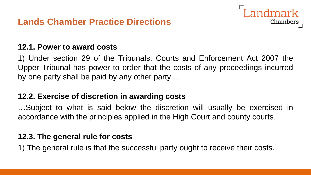

#### **12.1. Power to award costs**

1) Under section 29 of the Tribunals, Courts and Enforcement Act 2007 the Upper Tribunal has power to order that the costs of any proceedings incurred by one party shall be paid by any other party…

### **12.2. Exercise of discretion in awarding costs**

…Subject to what is said below the discretion will usually be exercised in accordance with the principles applied in the High Court and county courts.

#### **12.3. The general rule for costs**

1) The general rule is that the successful party ought to receive their costs.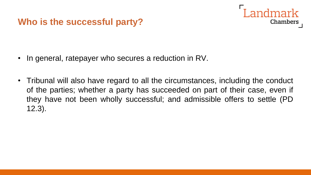# **Who is the successful party?**



- In general, ratepayer who secures a reduction in RV.
- Tribunal will also have regard to all the circumstances, including the conduct of the parties; whether a party has succeeded on part of their case, even if they have not been wholly successful; and admissible offers to settle (PD 12.3).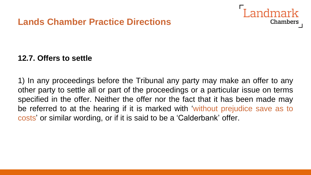## **Lands Chamber Practice Directions**



#### **12.7. Offers to settle**

1) In any proceedings before the Tribunal any party may make an offer to any other party to settle all or part of the proceedings or a particular issue on terms specified in the offer. Neither the offer nor the fact that it has been made may be referred to at the hearing if it is marked with 'without prejudice save as to costs' or similar wording, or if it is said to be a 'Calderbank' offer.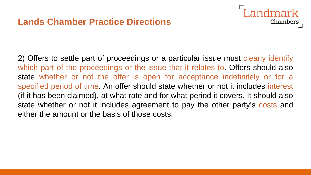2) Offers to settle part of proceedings or a particular issue must clearly identify which part of the proceedings or the issue that it relates to. Offers should also state whether or not the offer is open for acceptance indefinitely or for a specified period of time. An offer should state whether or not it includes interest (if it has been claimed), at what rate and for what period it covers. It should also state whether or not it includes agreement to pay the other party's costs and either the amount or the basis of those costs.

andmark

**Chambers**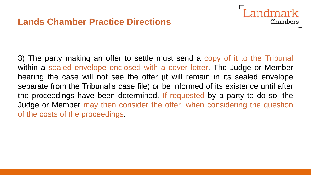## **Lands Chamber Practice Directions**



3) The party making an offer to settle must send a copy of it to the Tribunal within a sealed envelope enclosed with a cover letter. The Judge or Member hearing the case will not see the offer (it will remain in its sealed envelope separate from the Tribunal's case file) or be informed of its existence until after the proceedings have been determined. If requested by a party to do so, the Judge or Member may then consider the offer, when considering the question of the costs of the proceedings.